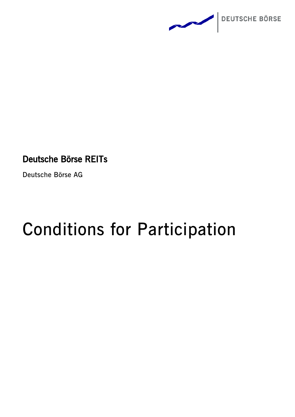

# Deutsche Börse REITs

**Deutsche Börse AG**

# **Conditions for Participation**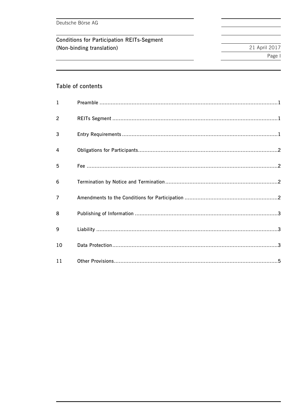Deutsche Börse AG

**Conditions for Participation REITs-Segment** (Non-binding translation)

21 April 2017 Page I

# Table of contents

| 1              |  |
|----------------|--|
| $\overline{c}$ |  |
| 3              |  |
| 4              |  |
| 5              |  |
| 6              |  |
| $\overline{7}$ |  |
| 8              |  |
| 9              |  |
| 10             |  |
| 11             |  |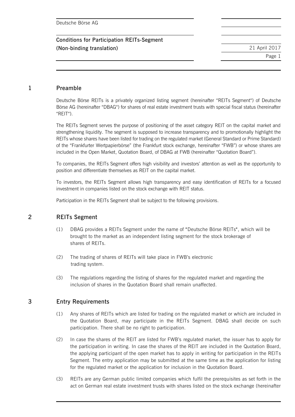**Conditions for Participation REITs-Segment (Non-binding translation)** 21 April 2017

Page 1

#### **1 Preamble**

Deutsche Börse REITs is a privately organized listing segment (hereinafter "REITs Segment") of Deutsche Börse AG (hereinafter "DBAG") for shares of real estate investment trusts with special fiscal status (hereinafter "REIT").

The REITs Segment serves the purpose of positioning of the asset category REIT on the capital market and strengthening liquidity. The segment is supposed to increase transparency and to promotionally highlight the REITs whose shares have been listed for trading on the regulated market (General Standard or Prime Standard) of the "Frankfurter Wertpapierbörse" (the Frankfurt stock exchange, hereinafter "FWB") or whose shares are included in the Open Market, Quotation Board, of DBAG at FWB (hereinafter "Quotation Board").

To companies, the REITs Segment offers high visibility and investors' attention as well as the opportunity to position and differentiate themselves as REIT on the capital market.

To investors, the REITs Segment allows high transparency and easy identification of REITs for a focused investment in companies listed on the stock exchange with REIT status.

Participation in the REITs Segment shall be subject to the following provisions.

# **2 REITs Segment**

- (1) DBAG provides a REITs Segment under the name of "Deutsche Börse REITs", which will be brought to the market as an independent listing segment for the stock brokerage of shares of REITs.
- (2) The trading of shares of REITs will take place in FWB's electronic trading system.
- (3) The regulations regarding the listing of shares for the regulated market and regarding the inclusion of shares in the Quotation Board shall remain unaffected.

# **3 Entry Requirements**

- (1) Any shares of REITs which are listed for trading on the regulated market or which are included in the Quotation Board, may participate in the REITs Segment. DBAG shall decide on such participation. There shall be no right to participation.
- (2) In case the shares of the REIT are listed for FWB's regulated market, the issuer has to apply for the participation in writing. In case the shares of the REIT are included in the Quotation Board, the applying participant of the open market has to apply in writing for participation in the REITs Segment. The entry application may be submitted at the same time as the application for listing for the regulated market or the application for inclusion in the Quotation Board.
- (3) REITs are any German public limited companies which fulfil the prerequisites as set forth in the act on German real estate investment trusts with shares listed on the stock exchange (hereinafter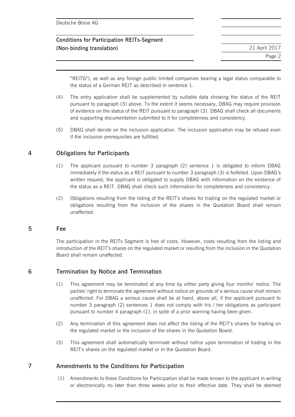| Deutsche Börse AG                                 |               |
|---------------------------------------------------|---------------|
| <b>Conditions for Participation REITs-Segment</b> |               |
| (Non-binding translation)                         | 21 April 2017 |
|                                                   | Page 2        |
|                                                   |               |

"REITG"), as well as any foreign public limited companies bearing a legal status comparable to the status of a German REIT as described in sentence 1.

- (4) The entry application shall be supplemented by suitable data showing the status of the REIT pursuant to paragraph (3) above. To the extent it seems necessary, DBAG may require provision of evidence on the status of the REIT pursuant to paragraph (3). DBAG shall check all documents and supporting documentation submitted to it for completeness and consistency.
- (5) DBAG shall decide on the inclusion application. The inclusion application may be refused even if the inclusion prerequisites are fulfilled.

# **4 Obligations for Participants**

- (1) The applicant pursuant to number 3 paragraph (2) sentence 1 is obligated to inform DBAG immediately if the status as a REIT pursuant to number 3 paragraph (3) is forfeited. Upon DBAG's written request, the applicant is obligated to supply DBAG with information on the existence of the status as a REIT. DBAG shall check such information for completeness and consistency.
- (2) Obligations resulting from the listing of the REIT's shares for trading on the regulated market or obligations resulting from the inclusion of the shares in the Quotation Board shall remain unaffected.

#### **5 Fee**

The participation in the REITs Segment is free of costs. However, costs resulting from the listing and introduction of the REIT's shares on the regulated market or resulting from the inclusion in the Quotation Board shall remain unaffected.

#### **6 Termination by Notice and Termination**

- (1) This agreement may be terminated at any time by either party giving four months' notice. The parties' right to terminate the agreement without notice on grounds of a serious cause shall remain unaffected. For DBAG a serious cause shall be at hand, above all, if the applicant pursuant to number 3 paragraph (2) sentences 1 does not comply with his / her obligations as participant pursuant to number 4 paragraph (1), in spite of a prior warning having been given.
- (2) Any termination of this agreement does not affect the listing of the REIT's shares for trading on the regulated market or the inclusion of the shares in the Quotation Board.
- (3) This agreement shall automatically terminate without notice upon termination of trading in the REIT's shares on the regulated market or in the Quotation Board.

# **7 Amendments to the Conditions for Participation**

(1) Amendments to these Conditions for Participation shall be made known to the applicant in writing or electronically no later than three weeks prior to their effective date. They shall be deemed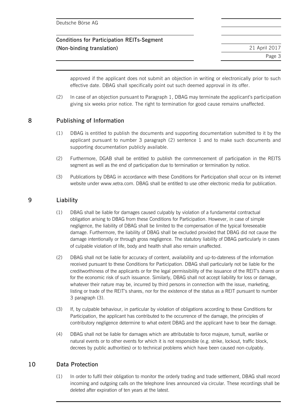| Deutsche Börse AG                                 |               |
|---------------------------------------------------|---------------|
| <b>Conditions for Participation REITs-Segment</b> |               |
| (Non-binding translation)                         | 21 April 2017 |
|                                                   | Page 3        |

approved if the applicant does not submit an objection in writing or electronically prior to such effective date. DBAG shall specifically point out such deemed approval in its offer.

(2) In case of an objection pursuant to Paragraph 1, DBAG may terminate the applicant's participation giving six weeks prior notice. The right to termination for good cause remains unaffected.

#### **8 Publishing of Information**

- (1) DBAG is entitled to publish the documents and supporting documentation submitted to it by the applicant pursuant to number 3 paragraph (2) sentence 1 and to make such documents and supporting documentation publicly available.
- (2) Furthermore, DGAB shall be entitled to publish the commencement of participation in the REITS segment as well as the end of participation due to termination or termination by notice.
- (3) Publications by DBAG in accordance with these Conditions for Participation shall occur on its internet website under www.xetra.com. DBAG shall be entitled to use other electronic media for publication.

#### **9 Liability**

- (1) DBAG shall be liable for damages caused culpably by violation of a fundamental contractual obligation arising to DBAG from these Conditions for Participation. However, in case of simple negligence, the liability of DBAG shall be limited to the compensation of the typical foreseeable damage. Furthermore, the liability of DBAG shall be excluded provided that DBAG did not cause the damage intentionally or through gross negligence. The statutory liability of DBAG particularly in cases of culpable violation of life, body and health shall also remain unaffected.
- (2) DBAG shall not be liable for accuracy of content, availability and up-to-dateness of the information received pursuant to these Conditions for Participation. DBAG shall particularly not be liable for the creditworthiness of the applicants or for the legal permissibility of the issuance of the REIT's shares or for the economic risk of such issuance. Similarly, DBAG shall not accept liability for loss or damage, whatever their nature may be, incurred by third persons in connection with the issue, marketing, listing or trade of the REIT's shares, nor for the existence of the status as a REIT pursuant to number 3 paragraph (3).
- (3) If, by culpable behaviour, in particular by violation of obligations according to these Conditions for Participation, the applicant has contributed to the occurrence of the damage, the principles of contributory negligence determine to what extent DBAG and the applicant have to bear the damage.
- (4) DBAG shall not be liable for damages which are attributable to force majeure, tumult, warlike or natural events or to other events for which it is not responsible (e.g. strike, lockout, traffic block, decrees by public authorities) or to technical problems which have been caused non-culpably.

# **10 Data Protection**

(1) In order to fulfil their obligation to monitor the orderly trading and trade settlement, DBAG shall record incoming and outgoing calls on the telephone lines announced via circular. These recordings shall be deleted after expiration of ten years at the latest.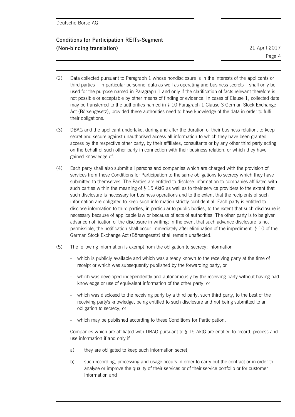| Deutsche Börse AG |  |
|-------------------|--|
|-------------------|--|

# **Conditions for Participation REITs-Segment (Non-binding translation)** 21 April 2017

Page 4

- (2) Data collected pursuant to Paragraph 1 whose nondisclosure is in the interests of the applicants or third parties – in particular personnel data as well as operating and business secrets – shall only be used for the purpose named in Paragraph 1 and only if the clarification of facts relevant therefore is not possible or acceptable by other means of finding or evidence. In cases of Clause 1, collected data may be transferred to the authorities named in § 10 Paragraph 1 Clause 3 German Stock Exchange Act (Börsengesetz), provided these authorities need to have knowledge of the data in order to fulfil their obligations.
- (3) DBAG and the applicant undertake, during and after the duration of their business relation, to keep secret and secure against unauthorised access all information to which they have been granted access by the respective other party, by their affiliates, consultants or by any other third party acting on the behalf of such other party in connection with their business relation, or which they have gained knowledge of.
- (4) Each party shall also submit all persons and companies which are charged with the provision of services from these Conditions for Participation to the same obligations to secrecy which they have submitted to themselves. The Parties are entitled to disclose information to companies affiliated with such parties within the meaning of § 15 AktG as well as to their service providers to the extent that such disclosure is necessary for business operations and to the extent that the recipients of such information are obligated to keep such information strictly confidential. Each party is entitled to disclose information to third parties, in particular to public bodies, to the extent that such disclosure is necessary because of applicable law or because of acts of authorities. The other party is to be given advance notification of the disclosure in writing; in the event that such advance disclosure is not permissible, the notification shall occur immediately after elimination of the impediment. § 10 of the German Stock Exchange Act (Börsengesetz) shall remain unaffected.
- (5) The following information is exempt from the obligation to secrecy; information
	- which is publicly available and which was already known to the receiving party at the time of receipt or which was subsequently published by the forwarding party, or
	- which was developed independently and autonomously by the receiving party without having had knowledge or use of equivalent information of the other party, or
	- which was disclosed to the receiving party by a third party, such third party, to the best of the receiving party's knowledge, being entitled to such disclosure and not being submitted to an obligation to secrecy, or
	- which may be published according to these Conditions for Participation.

Companies which are affiliated with DBAG pursuant to § 15 AktG are entitled to record, process and use information if and only if

- a) they are obligated to keep such information secret,
- b) such recording, processing and usage occurs in order to carry out the contract or in order to analyse or improve the quality of their services or of their service portfolio or for customer information and